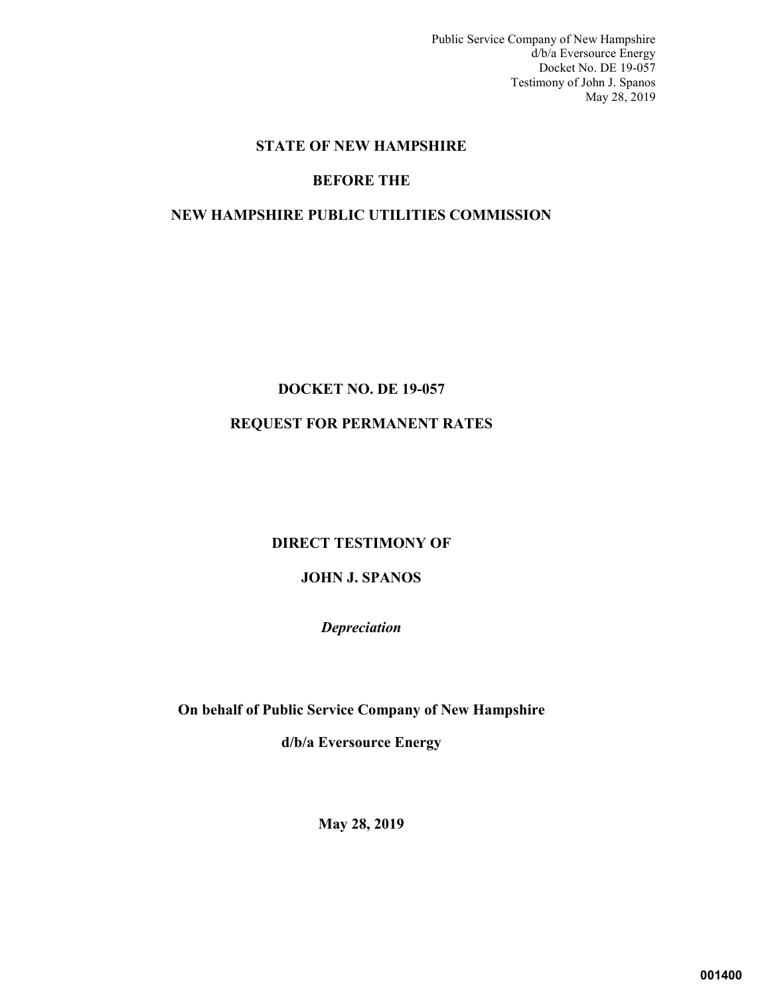Public Service Company of New Hampshire d/b/a Eversource Energy Docket No. DE 19-057 Testimony of John J. Spanos May 28, 2019

# **STATE OF NEW HAMPSHIRE**

# **BEFORE THE**

# **NEW HAMPSHIRE PUBLIC UTILITIES COMMISSION**

# **DOCKET NO. DE 19-057 REQUEST FOR PERMANENT RATES**

# **DIRECT TESTIMONY OF**

# **JOHN J. SPANOS**

*Depreciation* 

**On behalf of Public Service Company of New Hampshire** 

**d/b/a Eversource Energy**

**May 28, 2019**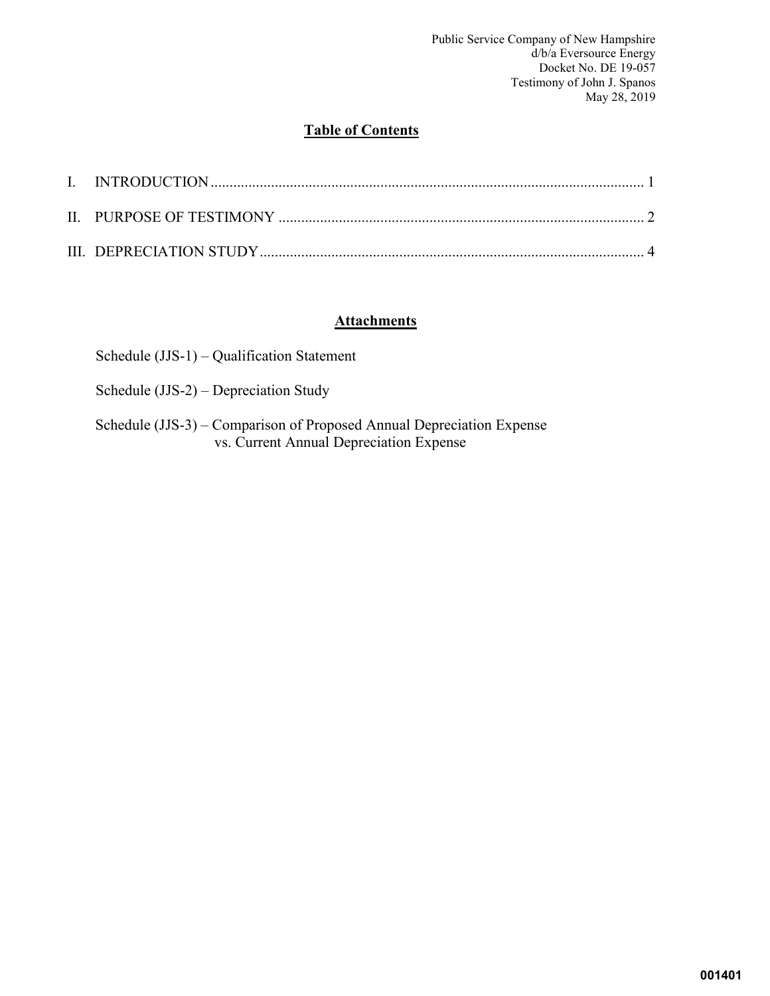Public Service Company of New Hampshire d/b/a Eversource Energy Docket No. DE 19-057 Testimony of John J. Spanos May 28, 2019

# **Table of Contents**

# **Attachments**

- Schedule (JJS-2) Depreciation Study
- Schedule (JJS-3) Comparison of Proposed Annual Depreciation Expense vs. Current Annual Depreciation Expense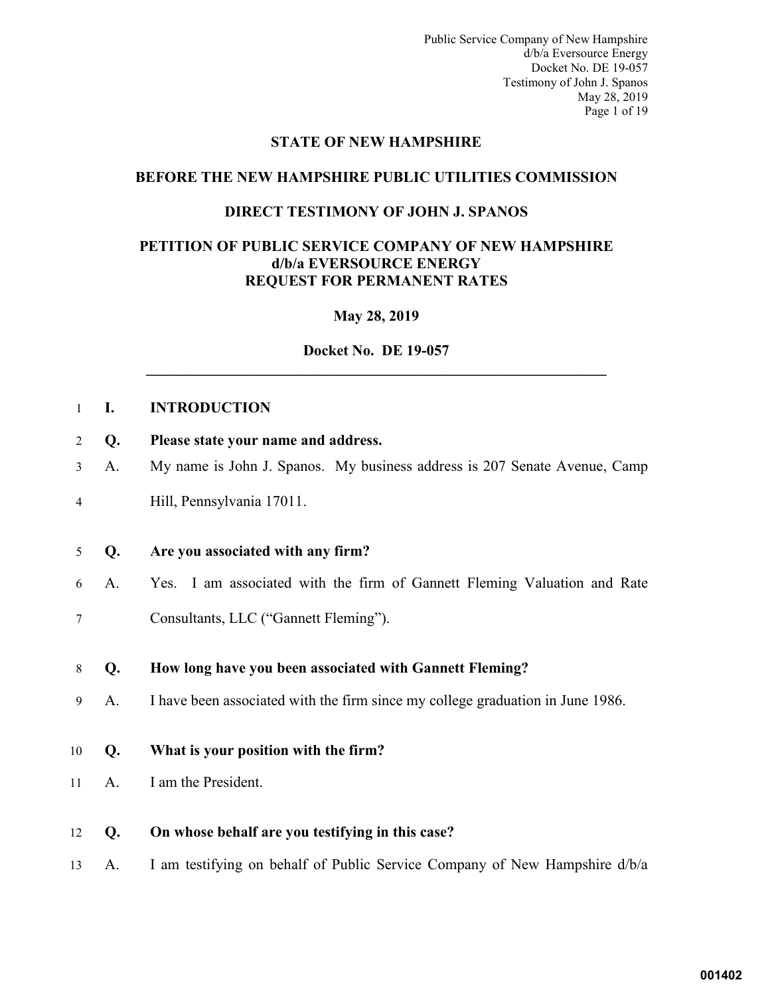Public Service Company of New Hampshire d/b/a Eversource Energy Docket No. DE 19-057 Testimony of John J. Spanos May 28, 2019 Page 1 of 19

#### **STATE OF NEW HAMPSHIRE**

# <span id="page-2-0"></span>**BEFORE THE NEW HAMPSHIRE PUBLIC UTILITIES COMMISSION**

### **DIRECT TESTIMONY OF JOHN J. SPANOS**

#### **PETITION OF PUBLIC SERVICE COMPANY OF NEW HAMPSHIRE d/b/a EVERSOURCE ENERGY REQUEST FOR PERMANENT RATES**

# **May 28, 2019**

# **Docket No. DE 19-057 \_\_\_\_\_\_\_\_\_\_\_\_\_\_\_\_\_\_\_\_\_\_\_\_\_\_\_\_\_\_\_\_\_\_\_\_\_\_\_\_\_\_\_\_\_\_\_\_\_\_\_\_\_\_\_\_\_\_\_\_\_**

# 1 **I. INTRODUCTION**

- 2 **Q. Please state your name and address.**
- 3 A. My name is John J. Spanos. My business address is 207 Senate Avenue, Camp
- 4 Hill, Pennsylvania 17011.

#### 5 **Q. Are you associated with any firm?**

6 A. Yes. I am associated with the firm of Gannett Fleming Valuation and Rate 7 Consultants, LLC ("Gannett Fleming").

#### 8 **Q. How long have you been associated with Gannett Fleming?**

- 9 A. I have been associated with the firm since my college graduation in June 1986.
- 10 **Q. What is your position with the firm?**
- 11 A. I am the President.
- 12 **Q. On whose behalf are you testifying in this case?**
- 13 A. I am testifying on behalf of Public Service Company of New Hampshire d/b/a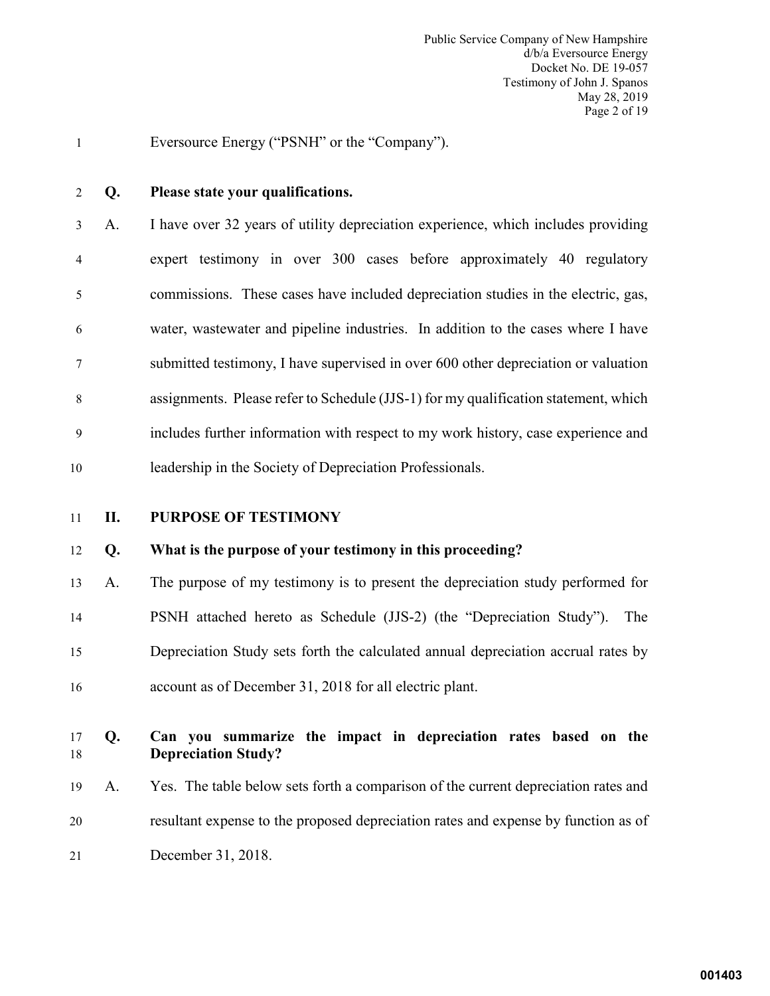1 Eversource Energy ("PSNH" or the "Company").

#### 2 **Q. Please state your qualifications.**

3 A. I have over 32 years of utility depreciation experience, which includes providing 4 expert testimony in over 300 cases before approximately 40 regulatory 5 commissions. These cases have included depreciation studies in the electric, gas, 6 water, wastewater and pipeline industries. In addition to the cases where I have 7 submitted testimony, I have supervised in over 600 other depreciation or valuation 8 assignments. Please refer to Schedule (JJS-1) for my qualification statement, which 9 includes further information with respect to my work history, case experience and 10 leadership in the Society of Depreciation Professionals.

#### <span id="page-3-0"></span>11 **II. PURPOSE OF TESTIMONY**

#### 12 **Q. What is the purpose of your testimony in this proceeding?**

 A. The purpose of my testimony is to present the depreciation study performed for PSNH attached hereto as Schedule (JJS-2) (the "Depreciation Study"). The Depreciation Study sets forth the calculated annual depreciation accrual rates by account as of December 31, 2018 for all electric plant.

# 17 **Q. Can you summarize the impact in depreciation rates based on the**  18 **Depreciation Study?**

19 A. Yes. The table below sets forth a comparison of the current depreciation rates and 20 resultant expense to the proposed depreciation rates and expense by function as of 21 December 31, 2018.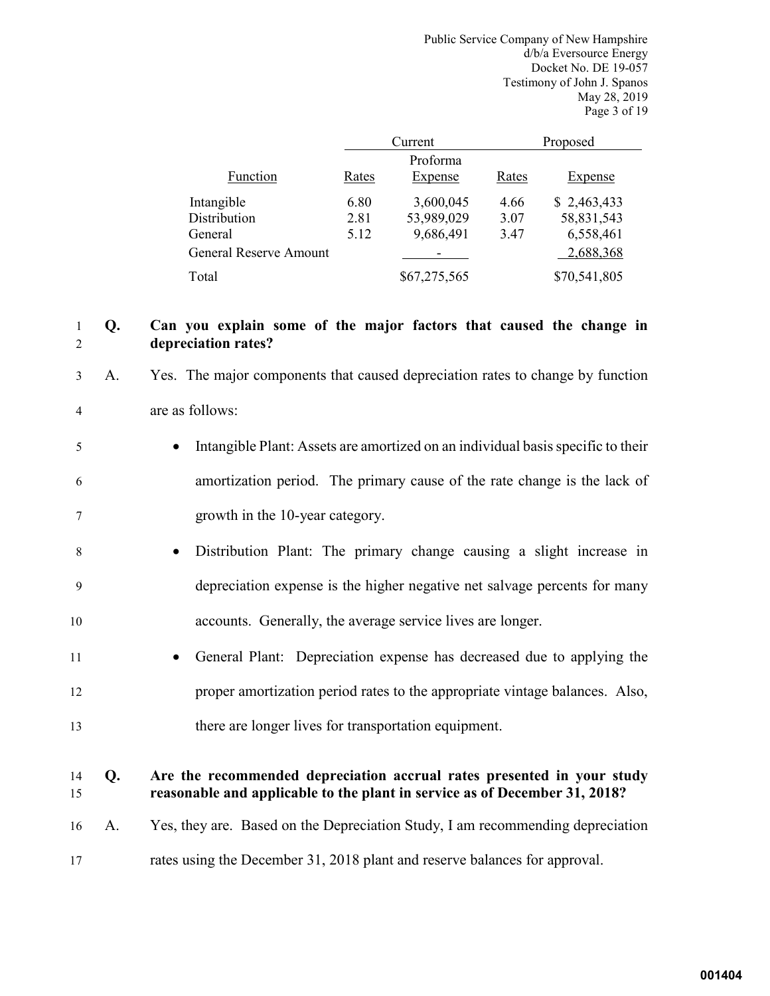Public Service Company of New Hampshire d/b/a Eversource Energy Docket No. DE 19-057 Testimony of John J. Spanos May 28, 2019 Page 3 of 19

|                               |       | Current             |       | Proposed     |
|-------------------------------|-------|---------------------|-------|--------------|
| Function                      | Rates | Proforma<br>Expense | Rates | Expense      |
| Intangible                    | 6.80  | 3,600,045           | 4.66  | \$2,463,433  |
| Distribution                  | 2.81  | 53,989,029          | 3.07  | 58,831,543   |
| General                       | 5.12  | 9,686,491           | 3.47  | 6,558,461    |
| <b>General Reserve Amount</b> |       |                     |       | 2,688,368    |
| Total                         |       | \$67,275,565        |       | \$70,541,805 |

# 1 **Q. Can you explain some of the major factors that caused the change in**  2 **depreciation rates?**

- 3 A. Yes. The major components that caused depreciation rates to change by function 4 are as follows:
- 5 Intangible Plant: Assets are amortized on an individual basis specific to their 6 amortization period. The primary cause of the rate change is the lack of 7 growth in the 10-year category.
- 8 Distribution Plant: The primary change causing a slight increase in 9 depreciation expense is the higher negative net salvage percents for many 10 accounts. Generally, the average service lives are longer.
- 11 General Plant: Depreciation expense has decreased due to applying the 12 proper amortization period rates to the appropriate vintage balances. Also, 13 there are longer lives for transportation equipment.

# 14 **Q. Are the recommended depreciation accrual rates presented in your study** 15 **reasonable and applicable to the plant in service as of December 31, 2018?**

- 16 A. Yes, they are. Based on the Depreciation Study, I am recommending depreciation
- 17 rates using the December 31, 2018 plant and reserve balances for approval.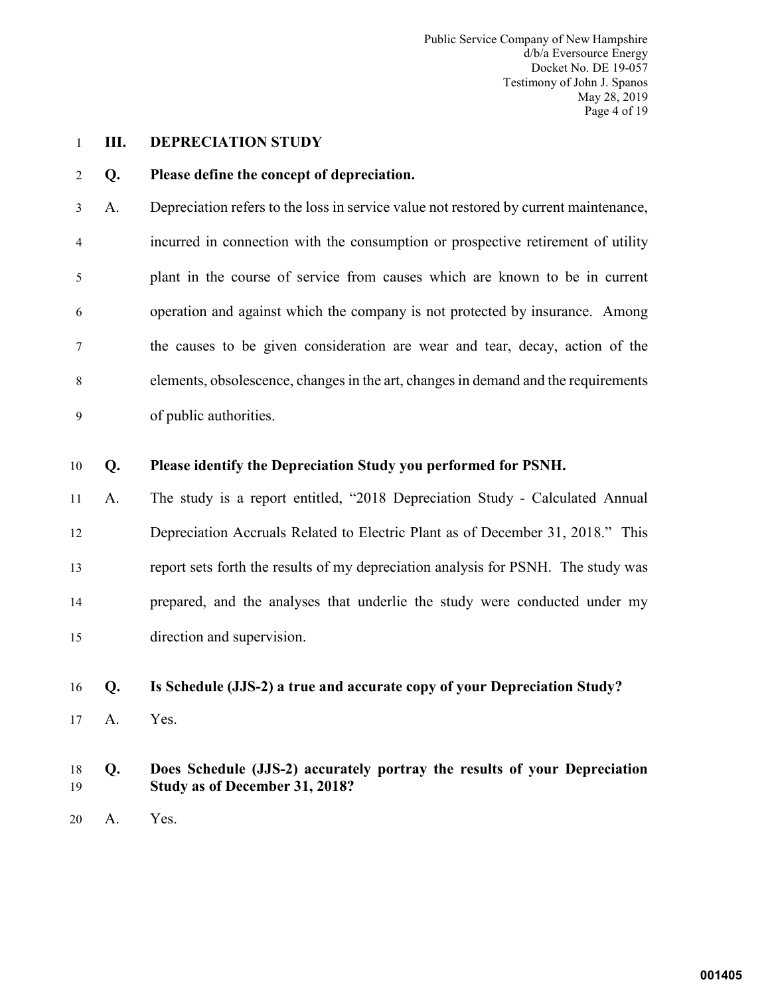Public Service Company of New Hampshire d/b/a Eversource Energy Docket No. DE 19-057 Testimony of John J. Spanos May 28, 2019 Page 4 of 19

#### <span id="page-5-0"></span>1 **III. DEPRECIATION STUDY**

#### 2 **Q. Please define the concept of depreciation.**

3 A. Depreciation refers to the loss in service value not restored by current maintenance, 4 incurred in connection with the consumption or prospective retirement of utility 5 plant in the course of service from causes which are known to be in current 6 operation and against which the company is not protected by insurance. Among 7 the causes to be given consideration are wear and tear, decay, action of the 8 elements, obsolescence, changes in the art, changes in demand and the requirements 9 of public authorities.

#### 10 **Q. Please identify the Depreciation Study you performed for PSNH.**

 A. The study is a report entitled, "2018 Depreciation Study - Calculated Annual Depreciation Accruals Related to Electric Plant as of December 31, 2018." This report sets forth the results of my depreciation analysis for PSNH. The study was prepared, and the analyses that underlie the study were conducted under my direction and supervision.

#### 16 **Q. Is Schedule (JJS-2) a true and accurate copy of your Depreciation Study?**

17 A. Yes.

# 18 **Q. Does Schedule (JJS-2) accurately portray the results of your Depreciation**  19 **Study as of December 31, 2018?**

20 A. Yes.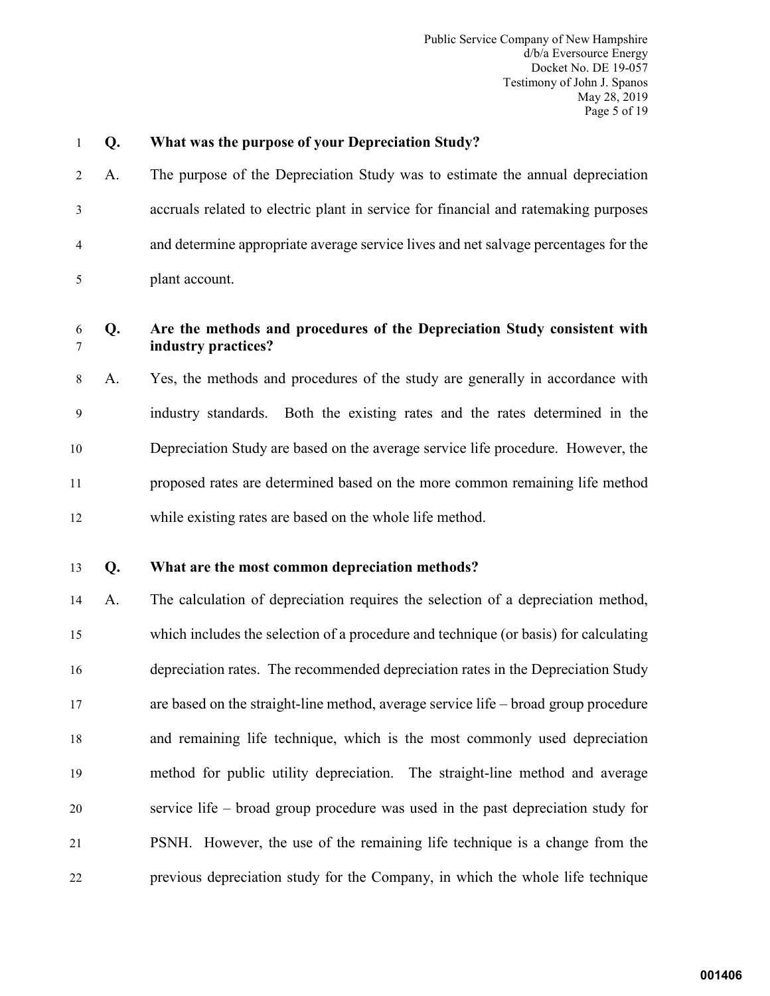Public Service Company of New Hampshire d/b/a Eversource Energy Docket No. DE 19-057 Testimony of John J. Spanos May 28, 2019 Page 5 of 19

| 2 | $\overline{A}$ |
|---|----------------|
|   |                |

# 1 **Q. What was the purpose of your Depreciation Study?**

2 A. The purpose of the Depreciation Study was to estimate the annual depreciation 3 accruals related to electric plant in service for financial and ratemaking purposes 4 and determine appropriate average service lives and net salvage percentages for the 5 plant account.

# 6 **Q. Are the methods and procedures of the Depreciation Study consistent with**  7 **industry practices?**

8 A. Yes, the methods and procedures of the study are generally in accordance with 9 industry standards. Both the existing rates and the rates determined in the 10 Depreciation Study are based on the average service life procedure. However, the 11 proposed rates are determined based on the more common remaining life method 12 while existing rates are based on the whole life method.

# 13 **Q. What are the most common depreciation methods?**

 A. The calculation of depreciation requires the selection of a depreciation method, which includes the selection of a procedure and technique (or basis) for calculating depreciation rates. The recommended depreciation rates in the Depreciation Study are based on the straight-line method, average service life – broad group procedure and remaining life technique, which is the most commonly used depreciation method for public utility depreciation. The straight-line method and average service life – broad group procedure was used in the past depreciation study for PSNH. However, the use of the remaining life technique is a change from the previous depreciation study for the Company, in which the whole life technique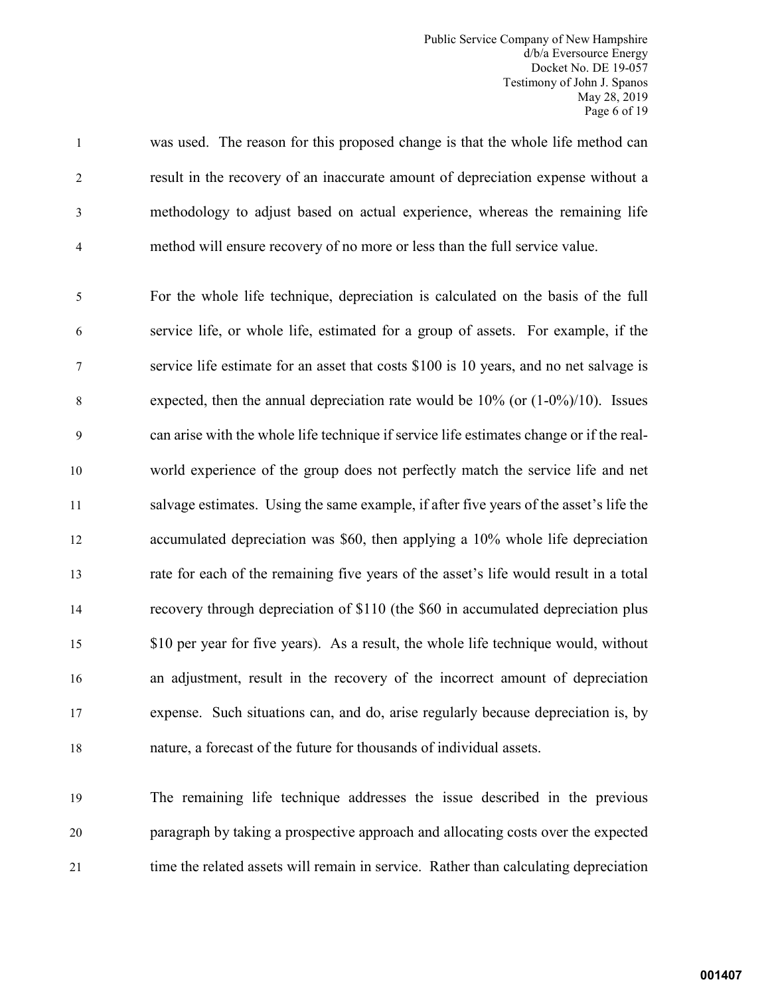Public Service Company of New Hampshire d/b/a Eversource Energy Docket No. DE 19-057 Testimony of John J. Spanos May 28, 2019 Page 6 of 19

1 was used. The reason for this proposed change is that the whole life method can 2 result in the recovery of an inaccurate amount of depreciation expense without a 3 methodology to adjust based on actual experience, whereas the remaining life 4 method will ensure recovery of no more or less than the full service value.

5 For the whole life technique, depreciation is calculated on the basis of the full 6 service life, or whole life, estimated for a group of assets. For example, if the 7 service life estimate for an asset that costs \$100 is 10 years, and no net salvage is 8 expected, then the annual depreciation rate would be 10% (or (1-0%)/10). Issues 9 can arise with the whole life technique if service life estimates change or if the real- world experience of the group does not perfectly match the service life and net salvage estimates. Using the same example, if after five years of the asset's life the accumulated depreciation was \$60, then applying a 10% whole life depreciation rate for each of the remaining five years of the asset's life would result in a total recovery through depreciation of \$110 (the \$60 in accumulated depreciation plus \$10 per year for five years). As a result, the whole life technique would, without an adjustment, result in the recovery of the incorrect amount of depreciation expense. Such situations can, and do, arise regularly because depreciation is, by nature, a forecast of the future for thousands of individual assets.

19 The remaining life technique addresses the issue described in the previous 20 paragraph by taking a prospective approach and allocating costs over the expected 21 time the related assets will remain in service. Rather than calculating depreciation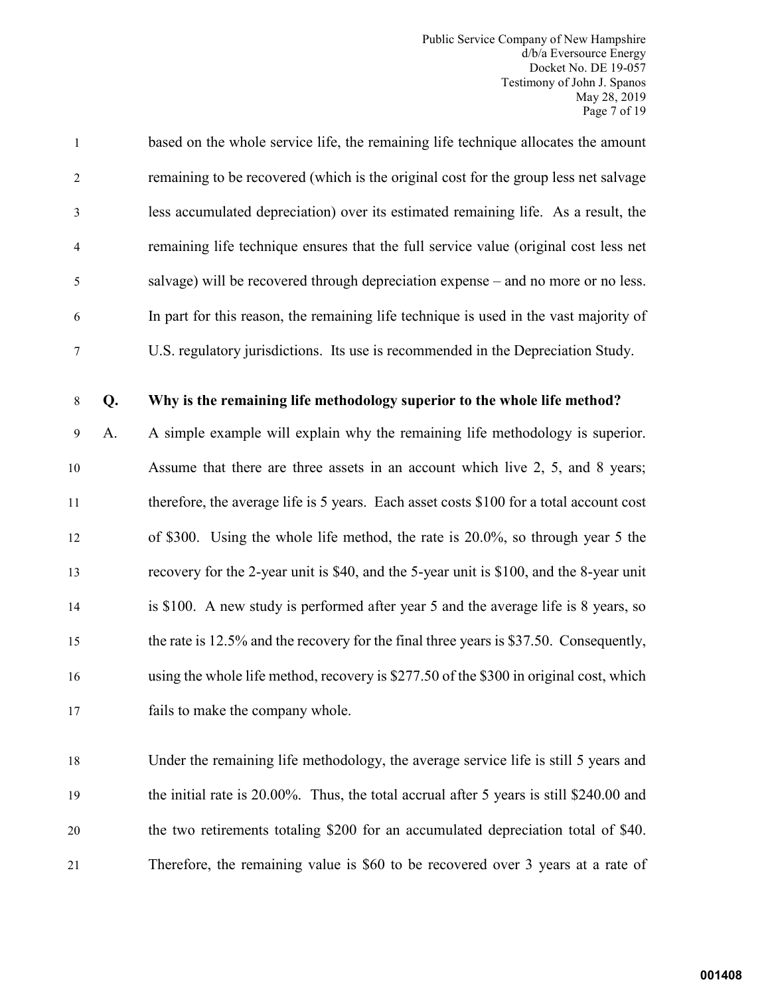Public Service Company of New Hampshire d/b/a Eversource Energy Docket No. DE 19-057 Testimony of John J. Spanos May 28, 2019 Page 7 of 19

| $\mathbf{1}$   | based on the whole service life, the remaining life technique allocates the amount    |
|----------------|---------------------------------------------------------------------------------------|
| 2              | remaining to be recovered (which is the original cost for the group less net salvage  |
| 3              | less accumulated depreciation) over its estimated remaining life. As a result, the    |
| $\overline{4}$ | remaining life technique ensures that the full service value (original cost less net  |
| -5             | salvage) will be recovered through depreciation expense – and no more or no less.     |
| 6              | In part for this reason, the remaining life technique is used in the vast majority of |
| 7              | U.S. regulatory jurisdictions. Its use is recommended in the Depreciation Study.      |

#### 8 **Q. Why is the remaining life methodology superior to the whole life method?**

9 A. A simple example will explain why the remaining life methodology is superior. Assume that there are three assets in an account which live 2, 5, and 8 years; therefore, the average life is 5 years. Each asset costs \$100 for a total account cost of \$300. Using the whole life method, the rate is 20.0%, so through year 5 the recovery for the 2-year unit is \$40, and the 5-year unit is \$100, and the 8-year unit is \$100. A new study is performed after year 5 and the average life is 8 years, so the rate is 12.5% and the recovery for the final three years is \$37.50. Consequently, using the whole life method, recovery is \$277.50 of the \$300 in original cost, which fails to make the company whole.

 Under the remaining life methodology, the average service life is still 5 years and the initial rate is 20.00%. Thus, the total accrual after 5 years is still \$240.00 and the two retirements totaling \$200 for an accumulated depreciation total of \$40. Therefore, the remaining value is \$60 to be recovered over 3 years at a rate of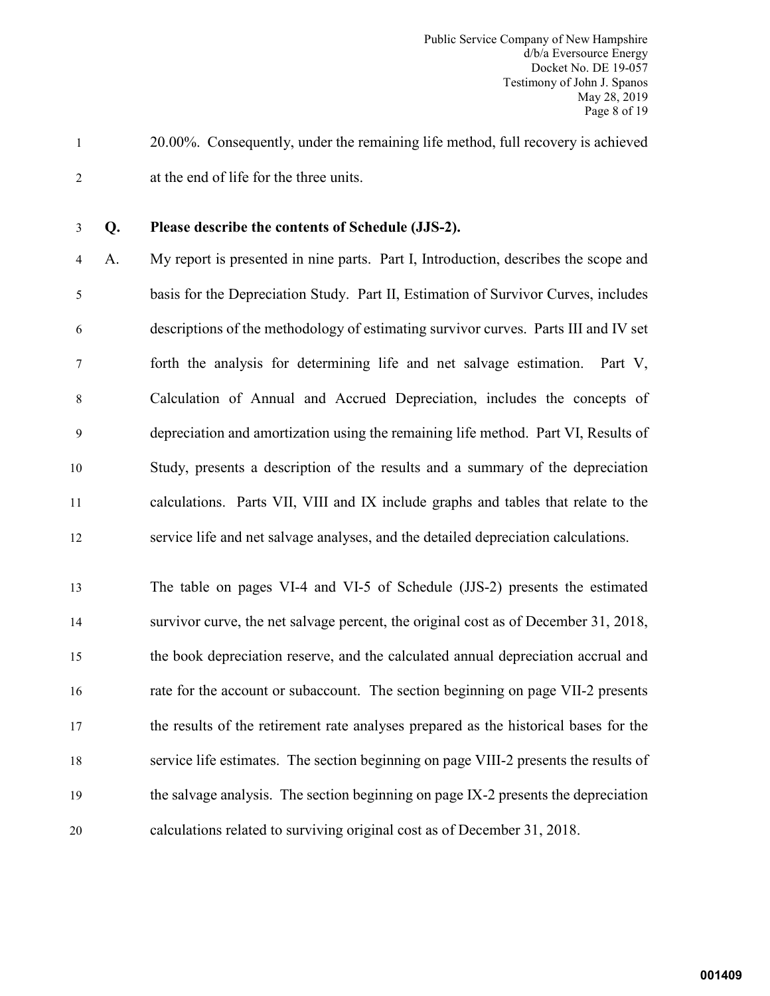- 1 20.00%. Consequently, under the remaining life method, full recovery is achieved 2 at the end of life for the three units.
- 

# 3 **Q. Please describe the contents of Schedule (JJS-2).**

4 A. My report is presented in nine parts. Part I, Introduction, describes the scope and 5 basis for the Depreciation Study. Part II, Estimation of Survivor Curves, includes 6 descriptions of the methodology of estimating survivor curves. Parts III and IV set 7 forth the analysis for determining life and net salvage estimation. Part V, 8 Calculation of Annual and Accrued Depreciation, includes the concepts of 9 depreciation and amortization using the remaining life method. Part VI, Results of 10 Study, presents a description of the results and a summary of the depreciation 11 calculations. Parts VII, VIII and IX include graphs and tables that relate to the 12 service life and net salvage analyses, and the detailed depreciation calculations.

 The table on pages VI-4 and VI-5 of Schedule (JJS-2) presents the estimated survivor curve, the net salvage percent, the original cost as of December 31, 2018, the book depreciation reserve, and the calculated annual depreciation accrual and rate for the account or subaccount. The section beginning on page VII-2 presents the results of the retirement rate analyses prepared as the historical bases for the service life estimates. The section beginning on page VIII-2 presents the results of the salvage analysis. The section beginning on page IX-2 presents the depreciation calculations related to surviving original cost as of December 31, 2018.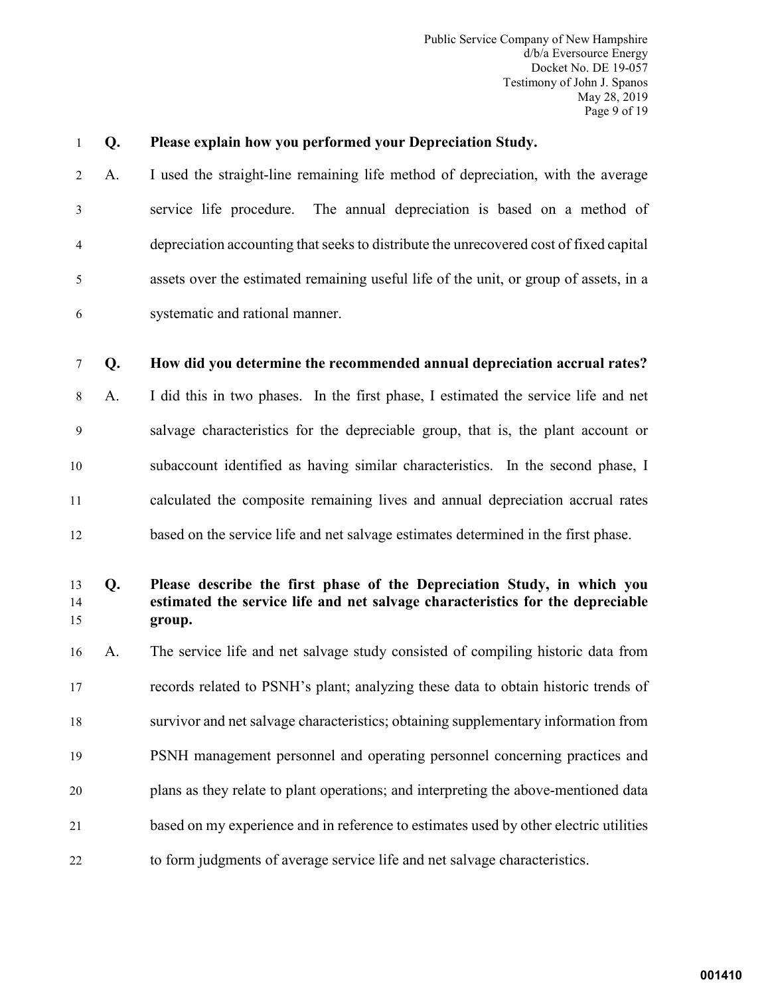Public Service Company of New Hampshire d/b/a Eversource Energy Docket No. DE 19-057 Testimony of John J. Spanos May 28, 2019 Page 9 of 19

#### 1 **Q. Please explain how you performed your Depreciation Study.**

2 A. I used the straight-line remaining life method of depreciation, with the average 3 service life procedure. The annual depreciation is based on a method of 4 depreciation accounting that seeks to distribute the unrecovered cost of fixed capital 5 assets over the estimated remaining useful life of the unit, or group of assets, in a 6 systematic and rational manner.

#### 7 **Q. How did you determine the recommended annual depreciation accrual rates?**

8 A. I did this in two phases. In the first phase, I estimated the service life and net 9 salvage characteristics for the depreciable group, that is, the plant account or 10 subaccount identified as having similar characteristics. In the second phase, I 11 calculated the composite remaining lives and annual depreciation accrual rates 12 based on the service life and net salvage estimates determined in the first phase.

# 13 **Q. Please describe the first phase of the Depreciation Study, in which you**  14 **estimated the service life and net salvage characteristics for the depreciable**  15 **group.**

 A. The service life and net salvage study consisted of compiling historic data from records related to PSNH's plant; analyzing these data to obtain historic trends of survivor and net salvage characteristics; obtaining supplementary information from PSNH management personnel and operating personnel concerning practices and plans as they relate to plant operations; and interpreting the above-mentioned data based on my experience and in reference to estimates used by other electric utilities to form judgments of average service life and net salvage characteristics.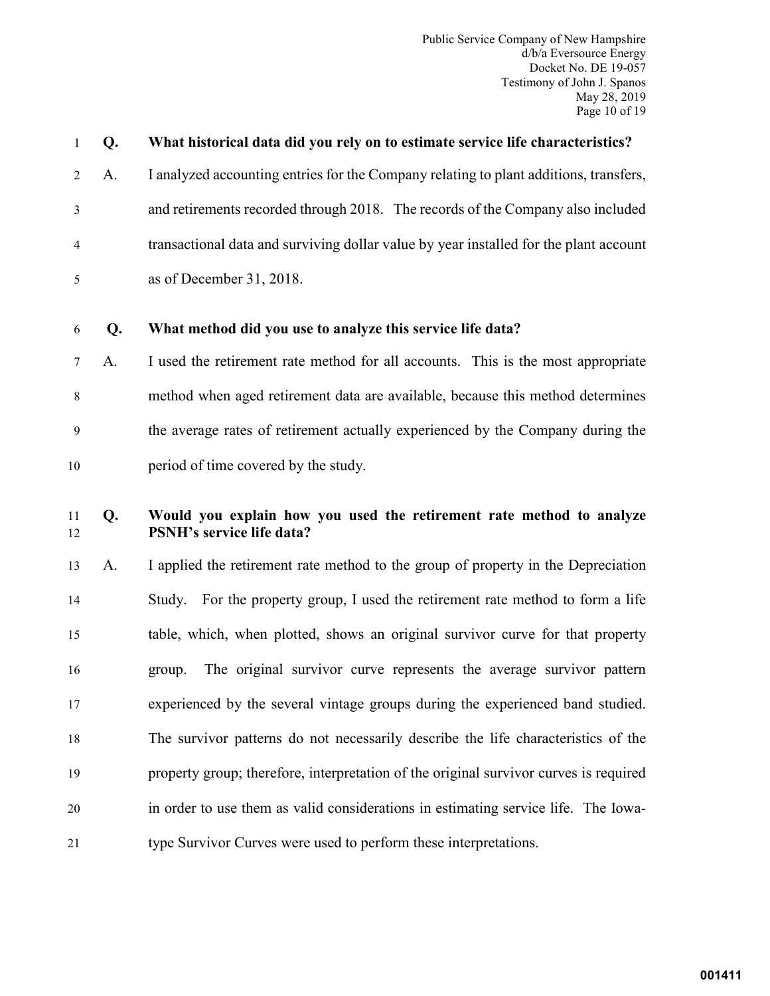Public Service Company of New Hampshire d/b/a Eversource Energy Docket No. DE 19-057 Testimony of John J. Spanos May 28, 2019 Page 10 of 19

| $\mathbf{1}$ | Q. | What historical data did you rely on to estimate service life characteristics?                           |
|--------------|----|----------------------------------------------------------------------------------------------------------|
| 2            | A. | I analyzed accounting entries for the Company relating to plant additions, transfers,                    |
| 3            |    | and retirements recorded through 2018. The records of the Company also included                          |
| 4            |    | transactional data and surviving dollar value by year installed for the plant account                    |
| 5            |    | as of December 31, 2018.                                                                                 |
| 6            | Q. | What method did you use to analyze this service life data?                                               |
| 7            | A. | I used the retirement rate method for all accounts. This is the most appropriate                         |
| $\,$ 8 $\,$  |    | method when aged retirement data are available, because this method determines                           |
| 9            |    | the average rates of retirement actually experienced by the Company during the                           |
| 10           |    | period of time covered by the study.                                                                     |
|              |    |                                                                                                          |
| 11<br>12     | Q. | Would you explain how you used the retirement rate method to analyze<br><b>PSNH's service life data?</b> |
| 13           | A. | I applied the retirement rate method to the group of property in the Depreciation                        |
| 14           |    | For the property group, I used the retirement rate method to form a life<br>Study.                       |
| 15           |    | table, which, when plotted, shows an original survivor curve for that property                           |
| 16           |    | The original survivor curve represents the average survivor pattern<br>group.                            |
| 17           |    | experienced by the several vintage groups during the experienced band studied.                           |
| 18           |    | The survivor patterns do not necessarily describe the life characteristics of the                        |
| 19           |    | property group; therefore, interpretation of the original survivor curves is required                    |
| 20           |    | in order to use them as valid considerations in estimating service life. The Iowa-                       |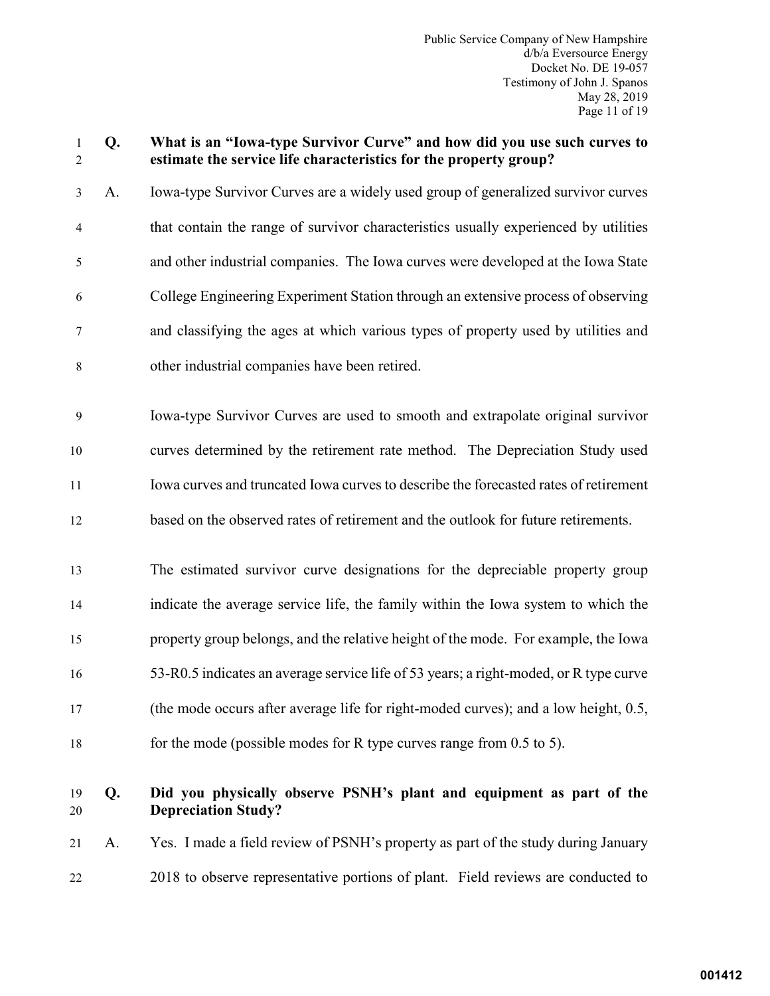# 1 **Q. What is an "Iowa-type Survivor Curve" and how did you use such curves to**  2 **estimate the service life characteristics for the property group?**

3 A. Iowa-type Survivor Curves are a widely used group of generalized survivor curves 4 that contain the range of survivor characteristics usually experienced by utilities 5 and other industrial companies. The Iowa curves were developed at the Iowa State 6 College Engineering Experiment Station through an extensive process of observing 7 and classifying the ages at which various types of property used by utilities and 8 other industrial companies have been retired.

9 Iowa-type Survivor Curves are used to smooth and extrapolate original survivor curves determined by the retirement rate method. The Depreciation Study used Iowa curves and truncated Iowa curves to describe the forecasted rates of retirement based on the observed rates of retirement and the outlook for future retirements.

 The estimated survivor curve designations for the depreciable property group indicate the average service life, the family within the Iowa system to which the property group belongs, and the relative height of the mode. For example, the Iowa 53-R0.5 indicates an average service life of 53 years; a right-moded, or R type curve (the mode occurs after average life for right-moded curves); and a low height, 0.5, for the mode (possible modes for R type curves range from 0.5 to 5).

# 19 **Q. Did you physically observe PSNH's plant and equipment as part of the** 20 **Depreciation Study?**

21 A. Yes. I made a field review of PSNH's property as part of the study during January 22 2018 to observe representative portions of plant. Field reviews are conducted to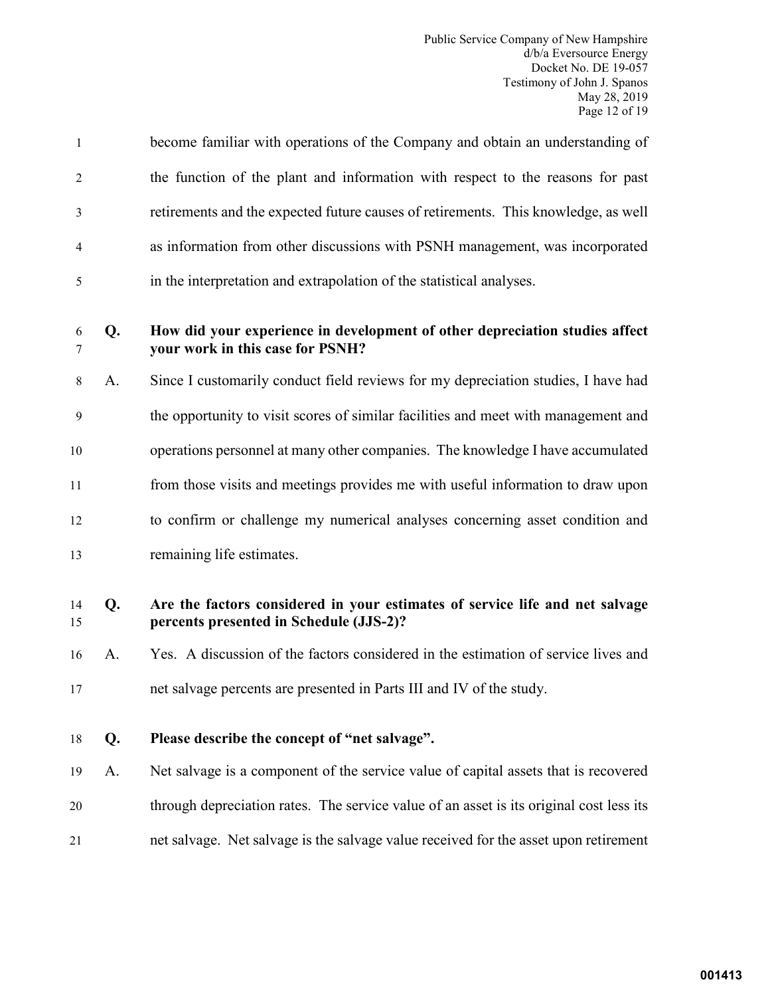| $\mathbf{1}$   |    | become familiar with operations of the Company and obtain an understanding of                                           |
|----------------|----|-------------------------------------------------------------------------------------------------------------------------|
| $\overline{2}$ |    | the function of the plant and information with respect to the reasons for past                                          |
| 3              |    | retirements and the expected future causes of retirements. This knowledge, as well                                      |
| 4              |    | as information from other discussions with PSNH management, was incorporated                                            |
| 5              |    | in the interpretation and extrapolation of the statistical analyses.                                                    |
| 6<br>7         | Q. | How did your experience in development of other depreciation studies affect<br>your work in this case for PSNH?         |
| 8              | A. | Since I customarily conduct field reviews for my depreciation studies, I have had                                       |
| 9              |    | the opportunity to visit scores of similar facilities and meet with management and                                      |
| 10             |    | operations personnel at many other companies. The knowledge I have accumulated                                          |
| 11             |    | from those visits and meetings provides me with useful information to draw upon                                         |
| 12             |    | to confirm or challenge my numerical analyses concerning asset condition and                                            |
| 13             |    | remaining life estimates.                                                                                               |
| 14<br>15       | Q. | Are the factors considered in your estimates of service life and net salvage<br>percents presented in Schedule (JJS-2)? |
| 16             | A. | Yes. A discussion of the factors considered in the estimation of service lives and                                      |
| 17             |    | net salvage percents are presented in Parts III and IV of the study.                                                    |
| 18             | Q. | Please describe the concept of "net salvage".                                                                           |
| 19             | A. | Net salvage is a component of the service value of capital assets that is recovered                                     |
| 20             |    | through depreciation rates. The service value of an asset is its original cost less its                                 |
| 21             |    | net salvage. Net salvage is the salvage value received for the asset upon retirement                                    |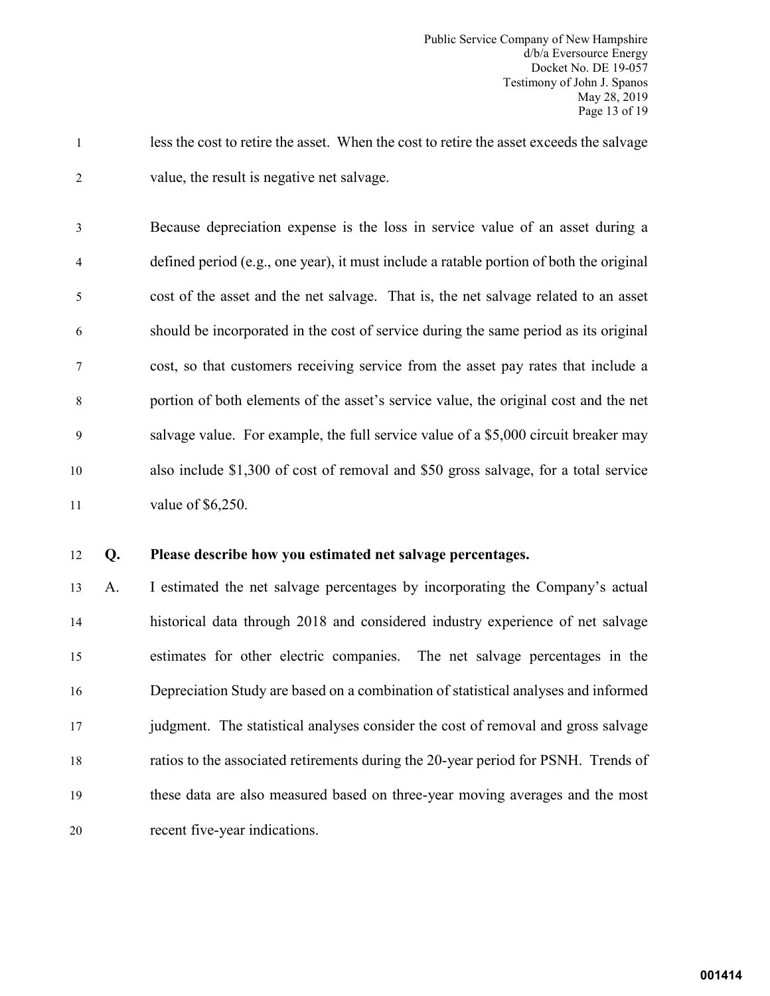1 less the cost to retire the asset. When the cost to retire the asset exceeds the salvage 2 value, the result is negative net salvage.

3 Because depreciation expense is the loss in service value of an asset during a 4 defined period (e.g., one year), it must include a ratable portion of both the original 5 cost of the asset and the net salvage. That is, the net salvage related to an asset 6 should be incorporated in the cost of service during the same period as its original 7 cost, so that customers receiving service from the asset pay rates that include a 8 portion of both elements of the asset's service value, the original cost and the net 9 salvage value. For example, the full service value of a \$5,000 circuit breaker may 10 also include \$1,300 of cost of removal and \$50 gross salvage, for a total service 11 value of \$6,250.

#### 12 **Q. Please describe how you estimated net salvage percentages.**

 A. I estimated the net salvage percentages by incorporating the Company's actual historical data through 2018 and considered industry experience of net salvage estimates for other electric companies. The net salvage percentages in the Depreciation Study are based on a combination of statistical analyses and informed judgment. The statistical analyses consider the cost of removal and gross salvage ratios to the associated retirements during the 20-year period for PSNH. Trends of these data are also measured based on three-year moving averages and the most recent five-year indications.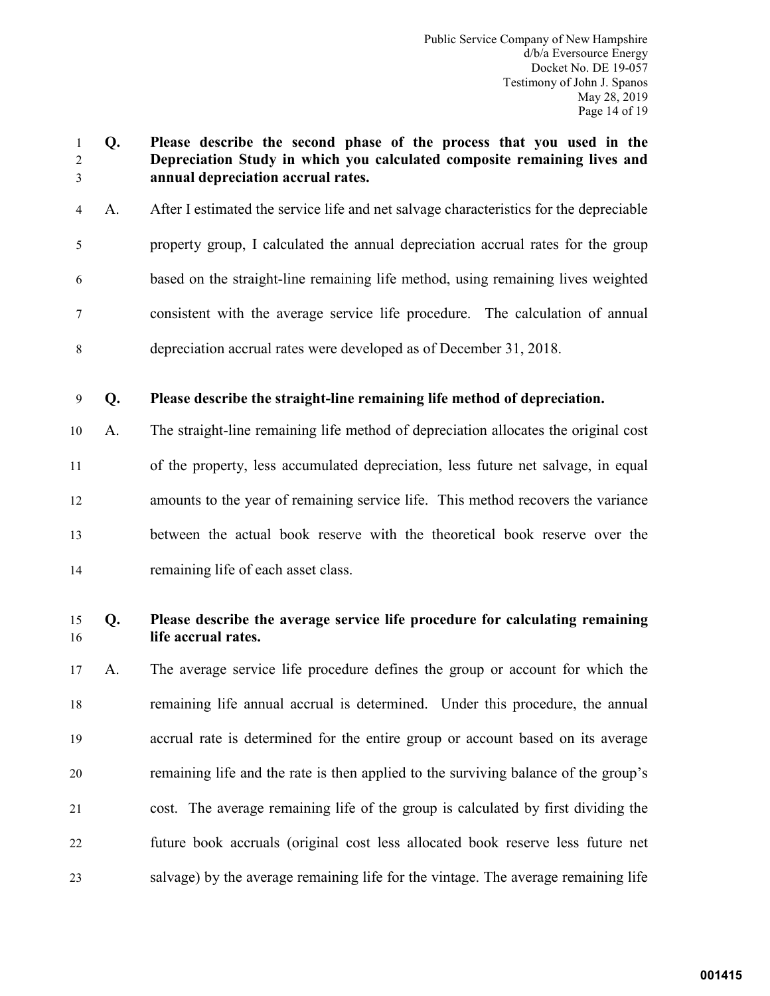- **Q. Please describe the second phase of the process that you used in the Depreciation Study in which you calculated composite remaining lives and annual depreciation accrual rates.**
- 4 A. After I estimated the service life and net salvage characteristics for the depreciable 5 property group, I calculated the annual depreciation accrual rates for the group 6 based on the straight-line remaining life method, using remaining lives weighted 7 consistent with the average service life procedure. The calculation of annual 8 depreciation accrual rates were developed as of December 31, 2018.
- **Q. Please describe the straight-line remaining life method of depreciation.**
- A. The straight-line remaining life method of depreciation allocates the original cost of the property, less accumulated depreciation, less future net salvage, in equal amounts to the year of remaining service life. This method recovers the variance between the actual book reserve with the theoretical book reserve over the remaining life of each asset class.

# **Q. Please describe the average service life procedure for calculating remaining life accrual rates.**

 A. The average service life procedure defines the group or account for which the remaining life annual accrual is determined. Under this procedure, the annual accrual rate is determined for the entire group or account based on its average remaining life and the rate is then applied to the surviving balance of the group's cost. The average remaining life of the group is calculated by first dividing the future book accruals (original cost less allocated book reserve less future net salvage) by the average remaining life for the vintage. The average remaining life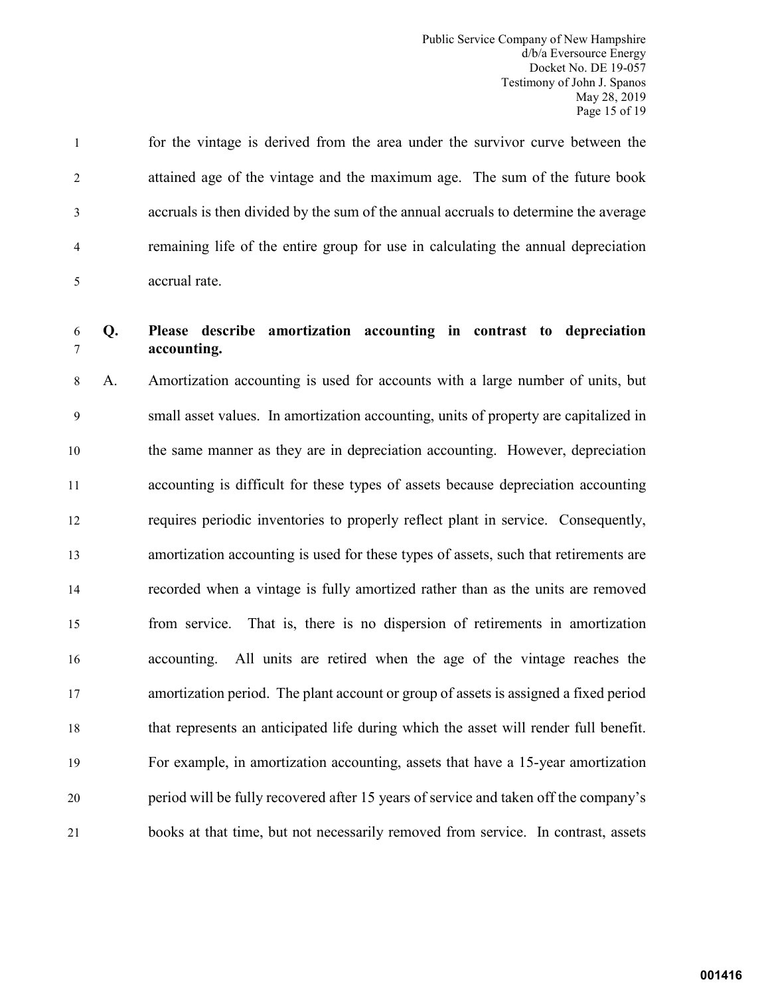1 for the vintage is derived from the area under the survivor curve between the 2 attained age of the vintage and the maximum age. The sum of the future book 3 accruals is then divided by the sum of the annual accruals to determine the average 4 remaining life of the entire group for use in calculating the annual depreciation 5 accrual rate.

# 6 **Q. Please describe amortization accounting in contrast to depreciation**  7 **accounting.**

8 A. Amortization accounting is used for accounts with a large number of units, but 9 small asset values. In amortization accounting, units of property are capitalized in the same manner as they are in depreciation accounting. However, depreciation accounting is difficult for these types of assets because depreciation accounting requires periodic inventories to properly reflect plant in service. Consequently, amortization accounting is used for these types of assets, such that retirements are recorded when a vintage is fully amortized rather than as the units are removed from service. That is, there is no dispersion of retirements in amortization accounting. All units are retired when the age of the vintage reaches the amortization period. The plant account or group of assets is assigned a fixed period that represents an anticipated life during which the asset will render full benefit. For example, in amortization accounting, assets that have a 15-year amortization period will be fully recovered after 15 years of service and taken off the company's books at that time, but not necessarily removed from service. In contrast, assets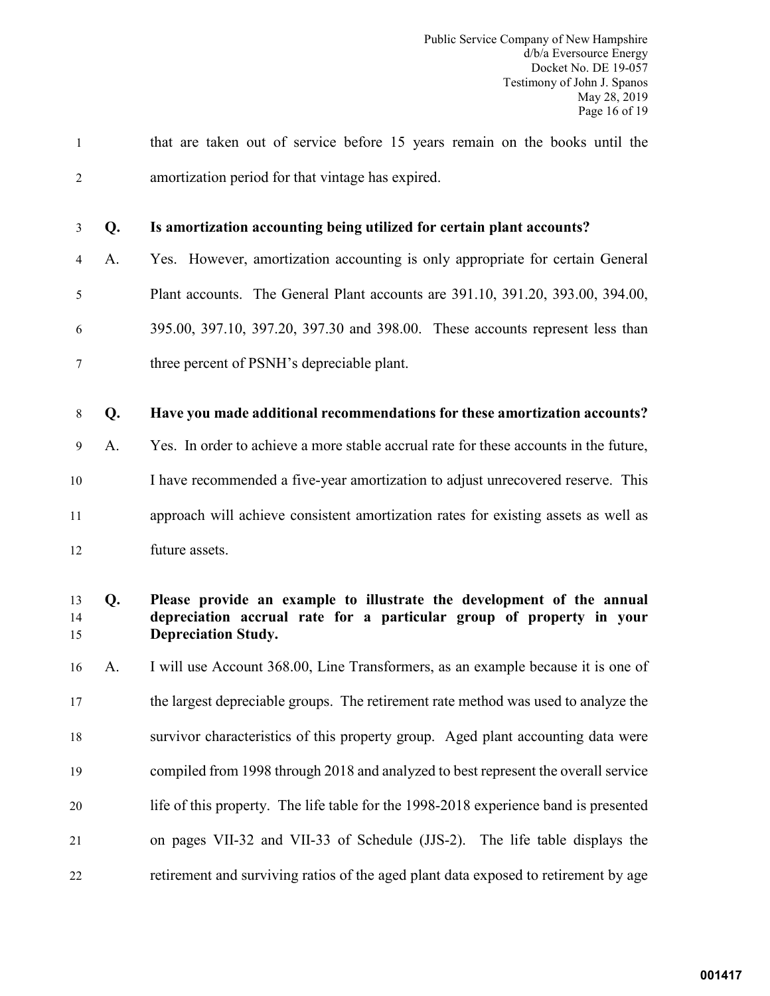| $\mathbf{1}$   |    | that are taken out of service before 15 years remain on the books until the                                                                                                 |
|----------------|----|-----------------------------------------------------------------------------------------------------------------------------------------------------------------------------|
| $\overline{2}$ |    | amortization period for that vintage has expired.                                                                                                                           |
| 3              | Q. | Is amortization accounting being utilized for certain plant accounts?                                                                                                       |
| 4              | A. | Yes. However, amortization accounting is only appropriate for certain General                                                                                               |
| 5              |    | Plant accounts. The General Plant accounts are 391.10, 391.20, 393.00, 394.00,                                                                                              |
| 6              |    | 395.00, 397.10, 397.20, 397.30 and 398.00. These accounts represent less than                                                                                               |
| 7              |    | three percent of PSNH's depreciable plant.                                                                                                                                  |
| $8\,$          | Q. | Have you made additional recommendations for these amortization accounts?                                                                                                   |
| 9              | A. | Yes. In order to achieve a more stable accrual rate for these accounts in the future,                                                                                       |
| 10             |    | I have recommended a five-year amortization to adjust unrecovered reserve. This                                                                                             |
| 11             |    | approach will achieve consistent amortization rates for existing assets as well as                                                                                          |
| 12             |    | future assets.                                                                                                                                                              |
| 13<br>14<br>15 | Q. | Please provide an example to illustrate the development of the annual<br>depreciation accrual rate for a particular group of property in your<br><b>Depreciation Study.</b> |
| 16             | A. | I will use Account 368.00, Line Transformers, as an example because it is one of                                                                                            |
| 17             |    | the largest depreciable groups. The retirement rate method was used to analyze the                                                                                          |
| 18             |    | survivor characteristics of this property group. Aged plant accounting data were                                                                                            |
| 19             |    | compiled from 1998 through 2018 and analyzed to best represent the overall service                                                                                          |
| 20             |    | life of this property. The life table for the 1998-2018 experience band is presented                                                                                        |
| 21             |    | on pages VII-32 and VII-33 of Schedule (JJS-2). The life table displays the                                                                                                 |
| 22             |    | retirement and surviving ratios of the aged plant data exposed to retirement by age                                                                                         |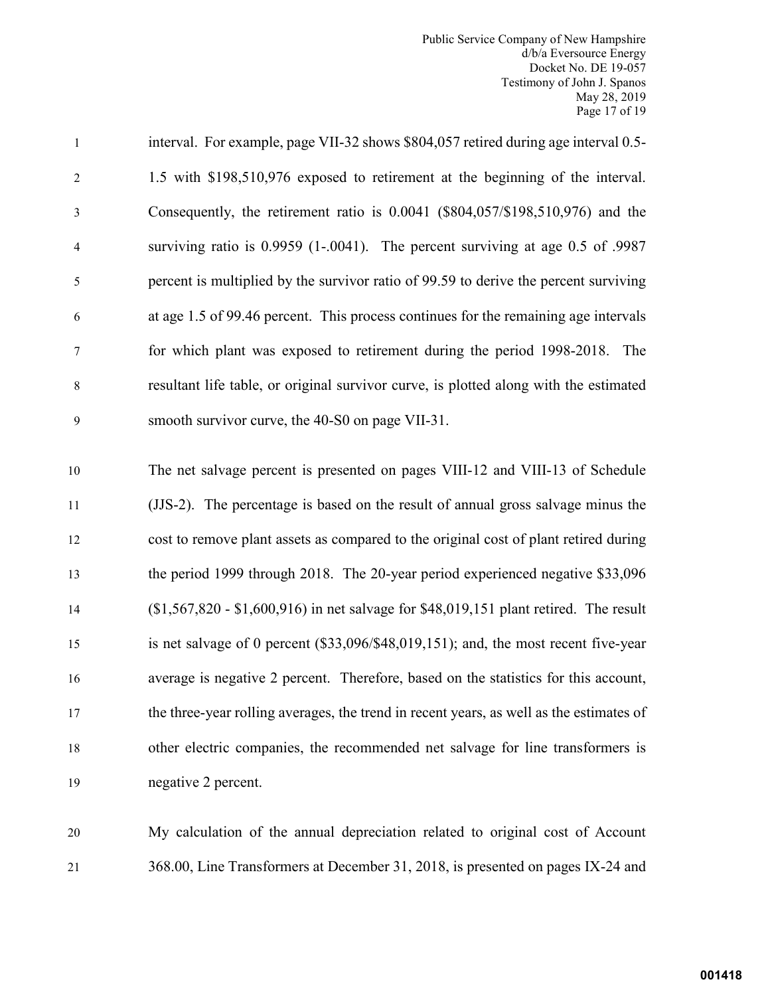Public Service Company of New Hampshire d/b/a Eversource Energy Docket No. DE 19-057 Testimony of John J. Spanos May 28, 2019 Page 17 of 19

| $\mathbf{1}$             | interval. For example, page VII-32 shows \$804,057 retired during age interval 0.5-     |
|--------------------------|-----------------------------------------------------------------------------------------|
| $\overline{c}$           | 1.5 with \$198,510,976 exposed to retirement at the beginning of the interval.          |
| 3                        | Consequently, the retirement ratio is 0.0041 (\$804,057/\$198,510,976) and the          |
| $\overline{\mathcal{A}}$ | surviving ratio is 0.9959 (1-.0041). The percent surviving at age 0.5 of .9987          |
| 5                        | percent is multiplied by the survivor ratio of 99.59 to derive the percent surviving    |
| 6                        | at age 1.5 of 99.46 percent. This process continues for the remaining age intervals     |
| 7                        | for which plant was exposed to retirement during the period 1998-2018. The              |
| $\,$ 8 $\,$              | resultant life table, or original survivor curve, is plotted along with the estimated   |
| 9                        | smooth survivor curve, the 40-S0 on page VII-31.                                        |
| $10\,$                   | The net salvage percent is presented on pages VIII-12 and VIII-13 of Schedule           |
| 11                       | (JJS-2). The percentage is based on the result of annual gross salvage minus the        |
| 12                       | cost to remove plant assets as compared to the original cost of plant retired during    |
| 13                       | the period 1999 through 2018. The 20-year period experienced negative \$33,096          |
| 14                       | $($1,567,820 - $1,600,916)$ in net salvage for \$48,019,151 plant retired. The result   |
| 15                       | is net salvage of 0 percent (\$33,096/\$48,019,151); and, the most recent five-year     |
| 16                       | average is negative 2 percent. Therefore, based on the statistics for this account,     |
| 17                       | the three-year rolling averages, the trend in recent years, as well as the estimates of |
| 18                       | other electric companies, the recommended net salvage for line transformers is          |
| 19                       | negative 2 percent.                                                                     |
|                          |                                                                                         |

20 My calculation of the annual depreciation related to original cost of Account 21 368.00, Line Transformers at December 31, 2018, is presented on pages IX-24 and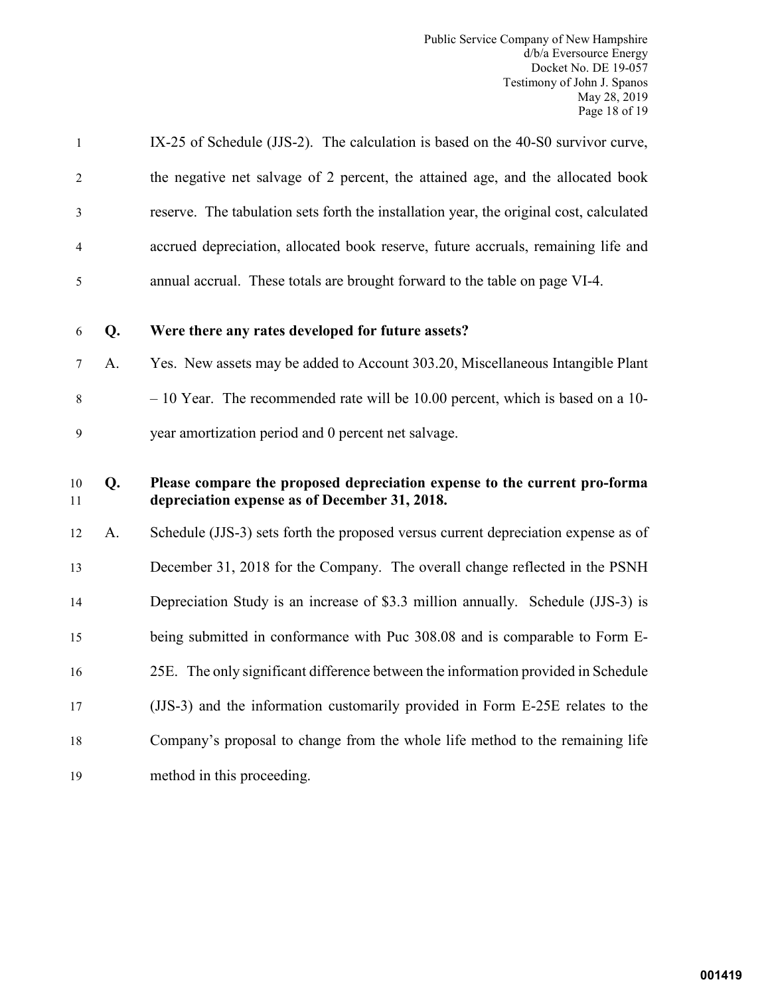| $\mathbf{1}$   |    | IX-25 of Schedule (JJS-2). The calculation is based on the 40-S0 survivor curve,                                           |
|----------------|----|----------------------------------------------------------------------------------------------------------------------------|
| $\overline{2}$ |    | the negative net salvage of 2 percent, the attained age, and the allocated book                                            |
| 3              |    | reserve. The tabulation sets forth the installation year, the original cost, calculated                                    |
| $\overline{4}$ |    | accrued depreciation, allocated book reserve, future accruals, remaining life and                                          |
| 5              |    | annual accrual. These totals are brought forward to the table on page VI-4.                                                |
| 6              | Q. | Were there any rates developed for future assets?                                                                          |
| 7              | A. | Yes. New assets may be added to Account 303.20, Miscellaneous Intangible Plant                                             |
| $8\,$          |    | $-10$ Year. The recommended rate will be 10.00 percent, which is based on a 10-                                            |
| $\mathbf{9}$   |    | year amortization period and 0 percent net salvage.                                                                        |
| 10             | Q. | Please compare the proposed depreciation expense to the current pro-forma<br>depreciation expense as of December 31, 2018. |
| 11             |    |                                                                                                                            |
| 12             | A. | Schedule (JJS-3) sets forth the proposed versus current depreciation expense as of                                         |
| 13             |    | December 31, 2018 for the Company. The overall change reflected in the PSNH                                                |
| 14             |    | Depreciation Study is an increase of \$3.3 million annually. Schedule (JJS-3) is                                           |
| 15             |    | being submitted in conformance with Puc 308.08 and is comparable to Form E-                                                |
| 16             |    | 25E. The only significant difference between the information provided in Schedule                                          |
| 17             |    | (JJS-3) and the information customarily provided in Form E-25E relates to the                                              |
| 18             |    | Company's proposal to change from the whole life method to the remaining life                                              |